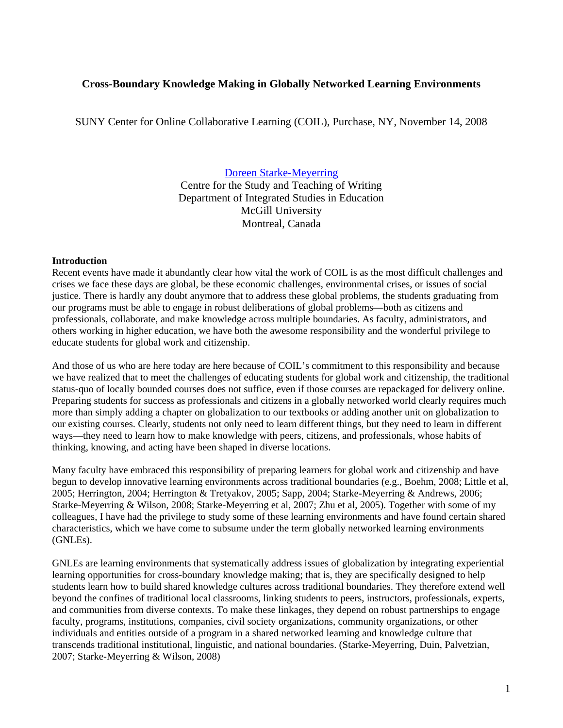## **Cross-Boundary Knowledge Making in Globally Networked Learning Environments**

SUNY Center for Online Collaborative Learning (COIL), Purchase, NY, November 14, 2008

### [Doreen Starke-Meyerring](http://webpages.mcgill.ca/staff/group1/dstark1/web/starke-meyerring/)

Centre for the Study and Teaching of Writing Department of Integrated Studies in Education McGill University Montreal, Canada

#### **Introduction**

Recent events have made it abundantly clear how vital the work of COIL is as the most difficult challenges and crises we face these days are global, be these economic challenges, environmental crises, or issues of social justice. There is hardly any doubt anymore that to address these global problems, the students graduating from our programs must be able to engage in robust deliberations of global problems—both as citizens and professionals, collaborate, and make knowledge across multiple boundaries. As faculty, administrators, and others working in higher education, we have both the awesome responsibility and the wonderful privilege to educate students for global work and citizenship.

And those of us who are here today are here because of COIL's commitment to this responsibility and because we have realized that to meet the challenges of educating students for global work and citizenship, the traditional status-quo of locally bounded courses does not suffice, even if those courses are repackaged for delivery online. Preparing students for success as professionals and citizens in a globally networked world clearly requires much more than simply adding a chapter on globalization to our textbooks or adding another unit on globalization to our existing courses. Clearly, students not only need to learn different things, but they need to learn in different ways—they need to learn how to make knowledge with peers, citizens, and professionals, whose habits of thinking, knowing, and acting have been shaped in diverse locations.

Many faculty have embraced this responsibility of preparing learners for global work and citizenship and have begun to develop innovative learning environments across traditional boundaries (e.g., Boehm, 2008; Little et al, 2005; Herrington, 2004; Herrington & Tretyakov, 2005; Sapp, 2004; Starke-Meyerring & Andrews, 2006; Starke-Meyerring & Wilson, 2008; Starke-Meyerring et al, 2007; Zhu et al, 2005). Together with some of my colleagues, I have had the privilege to study some of these learning environments and have found certain shared characteristics, which we have come to subsume under the term globally networked learning environments (GNLEs).

GNLEs are learning environments that systematically address issues of globalization by integrating experiential learning opportunities for cross-boundary knowledge making; that is, they are specifically designed to help students learn how to build shared knowledge cultures across traditional boundaries. They therefore extend well beyond the confines of traditional local classrooms, linking students to peers, instructors, professionals, experts, and communities from diverse contexts. To make these linkages, they depend on robust partnerships to engage faculty, programs, institutions, companies, civil society organizations, community organizations, or other individuals and entities outside of a program in a shared networked learning and knowledge culture that transcends traditional institutional, linguistic, and national boundaries. (Starke-Meyerring, Duin, Palvetzian, 2007; Starke-Meyerring & Wilson, 2008)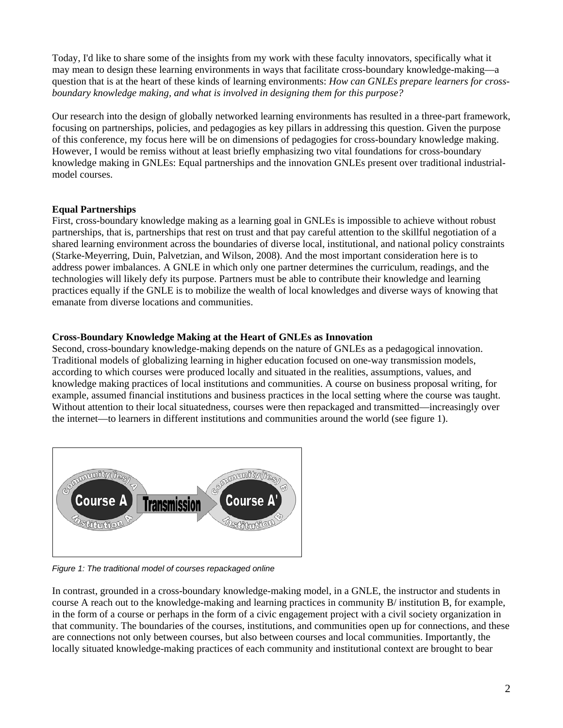Today, I'd like to share some of the insights from my work with these faculty innovators, specifically what it may mean to design these learning environments in ways that facilitate cross-boundary knowledge-making—a question that is at the heart of these kinds of learning environments: *How can GNLEs prepare learners for crossboundary knowledge making, and what is involved in designing them for this purpose?*

Our research into the design of globally networked learning environments has resulted in a three-part framework, focusing on partnerships, policies, and pedagogies as key pillars in addressing this question. Given the purpose of this conference, my focus here will be on dimensions of pedagogies for cross-boundary knowledge making. However, I would be remiss without at least briefly emphasizing two vital foundations for cross-boundary knowledge making in GNLEs: Equal partnerships and the innovation GNLEs present over traditional industrialmodel courses.

# **Equal Partnerships**

First, cross-boundary knowledge making as a learning goal in GNLEs is impossible to achieve without robust partnerships, that is, partnerships that rest on trust and that pay careful attention to the skillful negotiation of a shared learning environment across the boundaries of diverse local, institutional, and national policy constraints (Starke-Meyerring, Duin, Palvetzian, and Wilson, 2008). And the most important consideration here is to address power imbalances. A GNLE in which only one partner determines the curriculum, readings, and the technologies will likely defy its purpose. Partners must be able to contribute their knowledge and learning practices equally if the GNLE is to mobilize the wealth of local knowledges and diverse ways of knowing that emanate from diverse locations and communities.

## **Cross-Boundary Knowledge Making at the Heart of GNLEs as Innovation**

Second, cross-boundary knowledge-making depends on the nature of GNLEs as a pedagogical innovation. Traditional models of globalizing learning in higher education focused on one-way transmission models, according to which courses were produced locally and situated in the realities, assumptions, values, and knowledge making practices of local institutions and communities. A course on business proposal writing, for example, assumed financial institutions and business practices in the local setting where the course was taught. Without attention to their local situatedness, courses were then repackaged and transmitted—increasingly over the internet—to learners in different institutions and communities around the world (see figure 1).



*Figure 1: The traditional model of courses repackaged online* 

In contrast, grounded in a cross-boundary knowledge-making model, in a GNLE, the instructor and students in course A reach out to the knowledge-making and learning practices in community B/ institution B, for example, in the form of a course or perhaps in the form of a civic engagement project with a civil society organization in that community. The boundaries of the courses, institutions, and communities open up for connections, and these are connections not only between courses, but also between courses and local communities. Importantly, the locally situated knowledge-making practices of each community and institutional context are brought to bear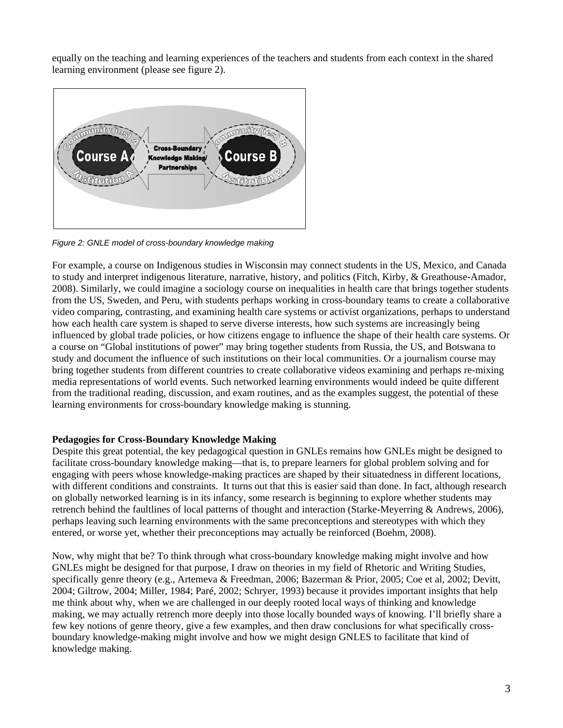equally on the teaching and learning experiences of the teachers and students from each context in the shared learning environment (please see figure 2).



*Figure 2: GNLE model of cross-boundary knowledge making* 

For example, a course on Indigenous studies in Wisconsin may connect students in the US, Mexico, and Canada to study and interpret indigenous literature, narrative, history, and politics (Fitch, Kirby, & Greathouse-Amador, 2008). Similarly, we could imagine a sociology course on inequalities in health care that brings together students from the US, Sweden, and Peru, with students perhaps working in cross-boundary teams to create a collaborative video comparing, contrasting, and examining health care systems or activist organizations, perhaps to understand how each health care system is shaped to serve diverse interests, how such systems are increasingly being influenced by global trade policies, or how citizens engage to influence the shape of their health care systems. Or a course on "Global institutions of power" may bring together students from Russia, the US, and Botswana to study and document the influence of such institutions on their local communities. Or a journalism course may bring together students from different countries to create collaborative videos examining and perhaps re-mixing media representations of world events. Such networked learning environments would indeed be quite different from the traditional reading, discussion, and exam routines, and as the examples suggest, the potential of these learning environments for cross-boundary knowledge making is stunning.

### **Pedagogies for Cross-Boundary Knowledge Making**

Despite this great potential, the key pedagogical question in GNLEs remains how GNLEs might be designed to facilitate cross-boundary knowledge making—that is, to prepare learners for global problem solving and for engaging with peers whose knowledge-making practices are shaped by their situatedness in different locations, with different conditions and constraints. It turns out that this is easier said than done. In fact, although research on globally networked learning is in its infancy, some research is beginning to explore whether students may retrench behind the faultlines of local patterns of thought and interaction (Starke-Meyerring & Andrews, 2006), perhaps leaving such learning environments with the same preconceptions and stereotypes with which they entered, or worse yet, whether their preconceptions may actually be reinforced (Boehm, 2008).

Now, why might that be? To think through what cross-boundary knowledge making might involve and how GNLEs might be designed for that purpose, I draw on theories in my field of Rhetoric and Writing Studies, specifically genre theory (e.g., Artemeva & Freedman, 2006; Bazerman & Prior, 2005; Coe et al, 2002; Devitt, 2004; Giltrow, 2004; Miller, 1984; Paré, 2002; Schryer, 1993) because it provides important insights that help me think about why, when we are challenged in our deeply rooted local ways of thinking and knowledge making, we may actually retrench more deeply into those locally bounded ways of knowing. I'll briefly share a few key notions of genre theory, give a few examples, and then draw conclusions for what specifically crossboundary knowledge-making might involve and how we might design GNLES to facilitate that kind of knowledge making.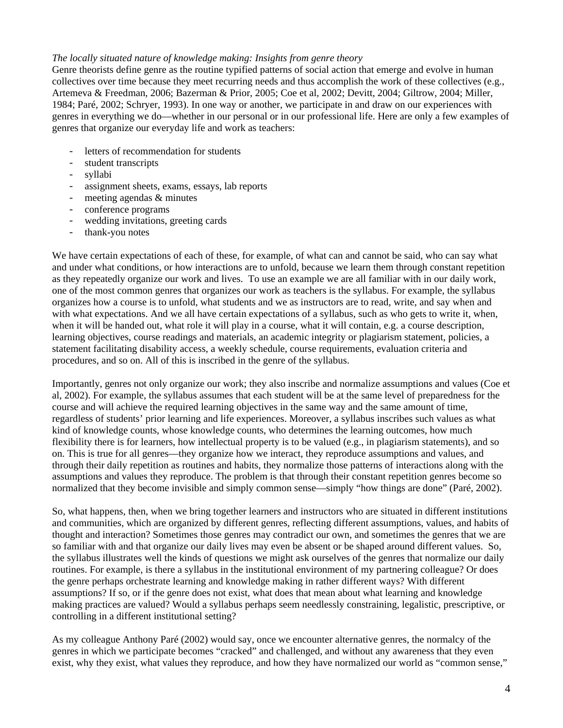### *The locally situated nature of knowledge making: Insights from genre theory*

Genre theorists define genre as the routine typified patterns of social action that emerge and evolve in human collectives over time because they meet recurring needs and thus accomplish the work of these collectives (e.g., Artemeva & Freedman, 2006; Bazerman & Prior, 2005; Coe et al, 2002; Devitt, 2004; Giltrow, 2004; Miller, 1984; Paré, 2002; Schryer, 1993). In one way or another, we participate in and draw on our experiences with genres in everything we do—whether in our personal or in our professional life. Here are only a few examples of genres that organize our everyday life and work as teachers:

- letters of recommendation for students
- student transcripts
- syllabi
- assignment sheets, exams, essays, lab reports
- meeting agendas & minutes
- conference programs
- wedding invitations, greeting cards
- thank-you notes

We have certain expectations of each of these, for example, of what can and cannot be said, who can say what and under what conditions, or how interactions are to unfold, because we learn them through constant repetition as they repeatedly organize our work and lives. To use an example we are all familiar with in our daily work, one of the most common genres that organizes our work as teachers is the syllabus. For example, the syllabus organizes how a course is to unfold, what students and we as instructors are to read, write, and say when and with what expectations. And we all have certain expectations of a syllabus, such as who gets to write it, when, when it will be handed out, what role it will play in a course, what it will contain, e.g. a course description, learning objectives, course readings and materials, an academic integrity or plagiarism statement, policies, a statement facilitating disability access, a weekly schedule, course requirements, evaluation criteria and procedures, and so on. All of this is inscribed in the genre of the syllabus.

Importantly, genres not only organize our work; they also inscribe and normalize assumptions and values (Coe et al, 2002). For example, the syllabus assumes that each student will be at the same level of preparedness for the course and will achieve the required learning objectives in the same way and the same amount of time, regardless of students' prior learning and life experiences. Moreover, a syllabus inscribes such values as what kind of knowledge counts, whose knowledge counts, who determines the learning outcomes, how much flexibility there is for learners, how intellectual property is to be valued (e.g., in plagiarism statements), and so on. This is true for all genres—they organize how we interact, they reproduce assumptions and values, and through their daily repetition as routines and habits, they normalize those patterns of interactions along with the assumptions and values they reproduce. The problem is that through their constant repetition genres become so normalized that they become invisible and simply common sense—simply "how things are done" (Paré, 2002).

So, what happens, then, when we bring together learners and instructors who are situated in different institutions and communities, which are organized by different genres, reflecting different assumptions, values, and habits of thought and interaction? Sometimes those genres may contradict our own, and sometimes the genres that we are so familiar with and that organize our daily lives may even be absent or be shaped around different values. So, the syllabus illustrates well the kinds of questions we might ask ourselves of the genres that normalize our daily routines. For example, is there a syllabus in the institutional environment of my partnering colleague? Or does the genre perhaps orchestrate learning and knowledge making in rather different ways? With different assumptions? If so, or if the genre does not exist, what does that mean about what learning and knowledge making practices are valued? Would a syllabus perhaps seem needlessly constraining, legalistic, prescriptive, or controlling in a different institutional setting?

As my colleague Anthony Paré (2002) would say, once we encounter alternative genres, the normalcy of the genres in which we participate becomes "cracked" and challenged, and without any awareness that they even exist, why they exist, what values they reproduce, and how they have normalized our world as "common sense,"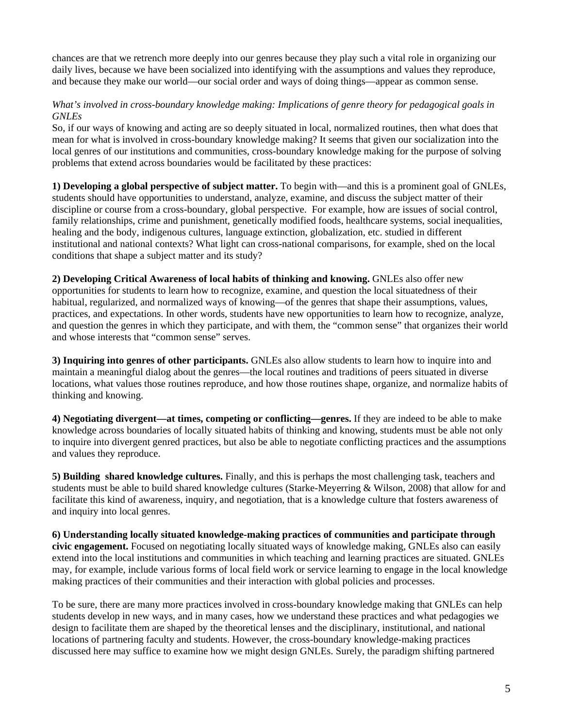chances are that we retrench more deeply into our genres because they play such a vital role in organizing our daily lives, because we have been socialized into identifying with the assumptions and values they reproduce, and because they make our world—our social order and ways of doing things—appear as common sense.

## *What's involved in cross-boundary knowledge making: Implications of genre theory for pedagogical goals in GNLEs*

So, if our ways of knowing and acting are so deeply situated in local, normalized routines, then what does that mean for what is involved in cross-boundary knowledge making? It seems that given our socialization into the local genres of our institutions and communities, cross-boundary knowledge making for the purpose of solving problems that extend across boundaries would be facilitated by these practices:

**1) Developing a global perspective of subject matter.** To begin with—and this is a prominent goal of GNLEs, students should have opportunities to understand, analyze, examine, and discuss the subject matter of their discipline or course from a cross-boundary, global perspective. For example, how are issues of social control, family relationships, crime and punishment, genetically modified foods, healthcare systems, social inequalities, healing and the body, indigenous cultures, language extinction, globalization, etc. studied in different institutional and national contexts? What light can cross-national comparisons, for example, shed on the local conditions that shape a subject matter and its study?

**2) Developing Critical Awareness of local habits of thinking and knowing.** GNLEs also offer new opportunities for students to learn how to recognize, examine, and question the local situatedness of their habitual, regularized, and normalized ways of knowing—of the genres that shape their assumptions, values, practices, and expectations. In other words, students have new opportunities to learn how to recognize, analyze, and question the genres in which they participate, and with them, the "common sense" that organizes their world and whose interests that "common sense" serves.

**3) Inquiring into genres of other participants.** GNLEs also allow students to learn how to inquire into and maintain a meaningful dialog about the genres—the local routines and traditions of peers situated in diverse locations, what values those routines reproduce, and how those routines shape, organize, and normalize habits of thinking and knowing.

**4) Negotiating divergent—at times, competing or conflicting—genres.** If they are indeed to be able to make knowledge across boundaries of locally situated habits of thinking and knowing, students must be able not only to inquire into divergent genred practices, but also be able to negotiate conflicting practices and the assumptions and values they reproduce.

**5) Building shared knowledge cultures.** Finally, and this is perhaps the most challenging task, teachers and students must be able to build shared knowledge cultures (Starke-Meyerring & Wilson, 2008) that allow for and facilitate this kind of awareness, inquiry, and negotiation, that is a knowledge culture that fosters awareness of and inquiry into local genres.

**6) Understanding locally situated knowledge-making practices of communities and participate through civic engagement.** Focused on negotiating locally situated ways of knowledge making, GNLEs also can easily extend into the local institutions and communities in which teaching and learning practices are situated. GNLEs may, for example, include various forms of local field work or service learning to engage in the local knowledge making practices of their communities and their interaction with global policies and processes.

To be sure, there are many more practices involved in cross-boundary knowledge making that GNLEs can help students develop in new ways, and in many cases, how we understand these practices and what pedagogies we design to facilitate them are shaped by the theoretical lenses and the disciplinary, institutional, and national locations of partnering faculty and students. However, the cross-boundary knowledge-making practices discussed here may suffice to examine how we might design GNLEs. Surely, the paradigm shifting partnered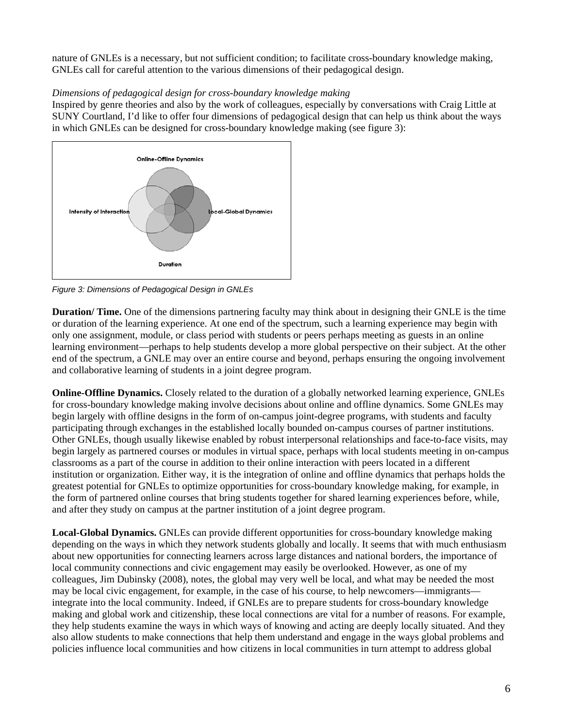nature of GNLEs is a necessary, but not sufficient condition; to facilitate cross-boundary knowledge making, GNLEs call for careful attention to the various dimensions of their pedagogical design.

# *Dimensions of pedagogical design for cross-boundary knowledge making*

Inspired by genre theories and also by the work of colleagues, especially by conversations with Craig Little at SUNY Courtland, I'd like to offer four dimensions of pedagogical design that can help us think about the ways in which GNLEs can be designed for cross-boundary knowledge making (see figure 3):



*Figure 3: Dimensions of Pedagogical Design in GNLEs* 

**Duration/ Time.** One of the dimensions partnering faculty may think about in designing their GNLE is the time or duration of the learning experience. At one end of the spectrum, such a learning experience may begin with only one assignment, module, or class period with students or peers perhaps meeting as guests in an online learning environment—perhaps to help students develop a more global perspective on their subject. At the other end of the spectrum, a GNLE may over an entire course and beyond, perhaps ensuring the ongoing involvement and collaborative learning of students in a joint degree program.

**Online-Offline Dynamics.** Closely related to the duration of a globally networked learning experience, GNLEs for cross-boundary knowledge making involve decisions about online and offline dynamics. Some GNLEs may begin largely with offline designs in the form of on-campus joint-degree programs, with students and faculty participating through exchanges in the established locally bounded on-campus courses of partner institutions. Other GNLEs, though usually likewise enabled by robust interpersonal relationships and face-to-face visits, may begin largely as partnered courses or modules in virtual space, perhaps with local students meeting in on-campus classrooms as a part of the course in addition to their online interaction with peers located in a different institution or organization. Either way, it is the integration of online and offline dynamics that perhaps holds the greatest potential for GNLEs to optimize opportunities for cross-boundary knowledge making, for example, in the form of partnered online courses that bring students together for shared learning experiences before, while, and after they study on campus at the partner institution of a joint degree program.

**Local-Global Dynamics.** GNLEs can provide different opportunities for cross-boundary knowledge making depending on the ways in which they network students globally and locally. It seems that with much enthusiasm about new opportunities for connecting learners across large distances and national borders, the importance of local community connections and civic engagement may easily be overlooked. However, as one of my colleagues, Jim Dubinsky (2008), notes, the global may very well be local, and what may be needed the most may be local civic engagement, for example, in the case of his course, to help newcomers—immigrants integrate into the local community. Indeed, if GNLEs are to prepare students for cross-boundary knowledge making and global work and citizenship, these local connections are vital for a number of reasons. For example, they help students examine the ways in which ways of knowing and acting are deeply locally situated. And they also allow students to make connections that help them understand and engage in the ways global problems and policies influence local communities and how citizens in local communities in turn attempt to address global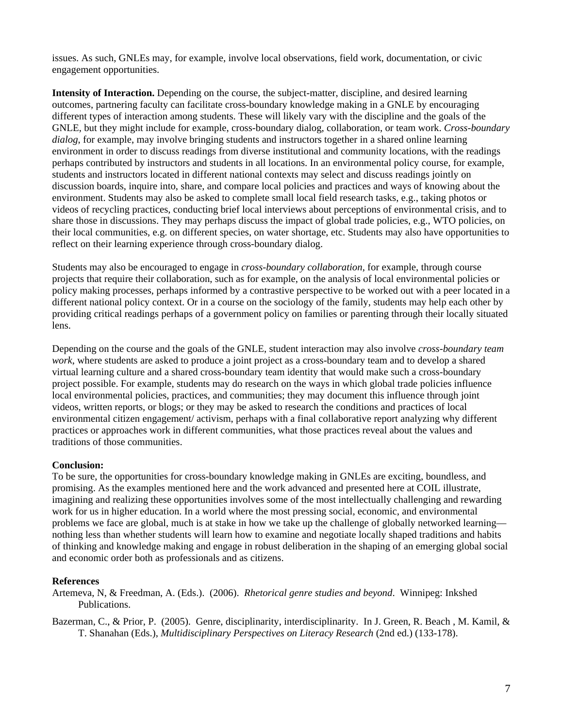issues. As such, GNLEs may, for example, involve local observations, field work, documentation, or civic engagement opportunities.

**Intensity of Interaction.** Depending on the course, the subject-matter, discipline, and desired learning outcomes, partnering faculty can facilitate cross-boundary knowledge making in a GNLE by encouraging different types of interaction among students. These will likely vary with the discipline and the goals of the GNLE, but they might include for example, cross-boundary dialog, collaboration, or team work. *Cross-boundary dialog*, for example, may involve bringing students and instructors together in a shared online learning environment in order to discuss readings from diverse institutional and community locations, with the readings perhaps contributed by instructors and students in all locations. In an environmental policy course, for example, students and instructors located in different national contexts may select and discuss readings jointly on discussion boards, inquire into, share, and compare local policies and practices and ways of knowing about the environment. Students may also be asked to complete small local field research tasks, e.g., taking photos or videos of recycling practices, conducting brief local interviews about perceptions of environmental crisis, and to share those in discussions. They may perhaps discuss the impact of global trade policies, e.g., WTO policies, on their local communities, e.g. on different species, on water shortage, etc. Students may also have opportunities to reflect on their learning experience through cross-boundary dialog.

Students may also be encouraged to engage in *cross-boundary collaboration*, for example, through course projects that require their collaboration, such as for example, on the analysis of local environmental policies or policy making processes, perhaps informed by a contrastive perspective to be worked out with a peer located in a different national policy context. Or in a course on the sociology of the family, students may help each other by providing critical readings perhaps of a government policy on families or parenting through their locally situated lens.

Depending on the course and the goals of the GNLE, student interaction may also involve *cross-boundary team work*, where students are asked to produce a joint project as a cross-boundary team and to develop a shared virtual learning culture and a shared cross-boundary team identity that would make such a cross-boundary project possible. For example, students may do research on the ways in which global trade policies influence local environmental policies, practices, and communities; they may document this influence through joint videos, written reports, or blogs; or they may be asked to research the conditions and practices of local environmental citizen engagement/ activism, perhaps with a final collaborative report analyzing why different practices or approaches work in different communities, what those practices reveal about the values and traditions of those communities.

### **Conclusion:**

To be sure, the opportunities for cross-boundary knowledge making in GNLEs are exciting, boundless, and promising. As the examples mentioned here and the work advanced and presented here at COIL illustrate, imagining and realizing these opportunities involves some of the most intellectually challenging and rewarding work for us in higher education. In a world where the most pressing social, economic, and environmental problems we face are global, much is at stake in how we take up the challenge of globally networked learning nothing less than whether students will learn how to examine and negotiate locally shaped traditions and habits of thinking and knowledge making and engage in robust deliberation in the shaping of an emerging global social and economic order both as professionals and as citizens.

#### **References**

Artemeva, N, & Freedman, A. (Eds.). (2006). *Rhetorical genre studies and beyond*. Winnipeg: Inkshed Publications.

Bazerman, C., & Prior, P. (2005). Genre, disciplinarity, interdisciplinarity. In J. Green, R. Beach , M. Kamil, & T. Shanahan (Eds.), *Multidisciplinary Perspectives on Literacy Research* (2nd ed.) (133-178).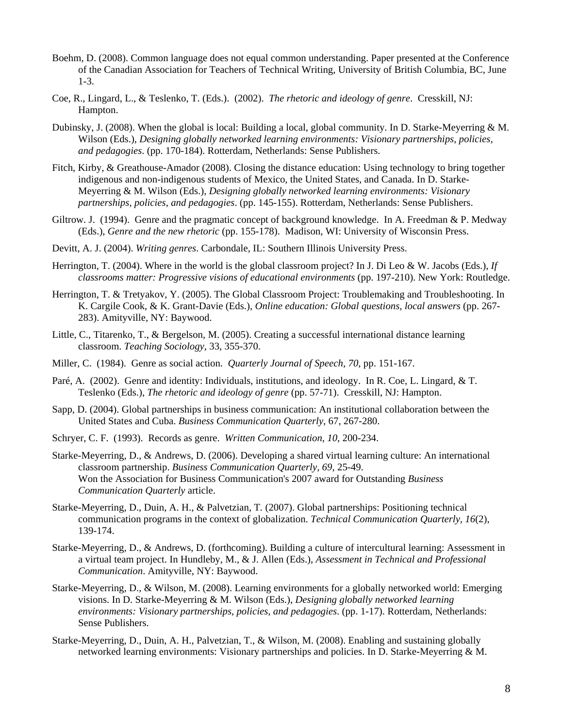- Boehm, D. (2008). Common language does not equal common understanding. Paper presented at the Conference of the Canadian Association for Teachers of Technical Writing, University of British Columbia, BC, June 1-3.
- Coe, R., Lingard, L., & Teslenko, T. (Eds.). (2002). *The rhetoric and ideology of genre*. Cresskill, NJ: Hampton.
- Dubinsky, J. (2008). When the global is local: Building a local, global community. In D. Starke-Meyerring & M. Wilson (Eds.), *Designing globally networked learning environments: Visionary partnerships, policies, and pedagogies*. (pp. 170-184). Rotterdam, Netherlands: Sense Publishers.
- Fitch, Kirby, & Greathouse-Amador (2008). Closing the distance education: Using technology to bring together indigenous and non-indigenous students of Mexico, the United States, and Canada. In D. Starke-Meyerring & M. Wilson (Eds.), *Designing globally networked learning environments: Visionary partnerships, policies, and pedagogies*. (pp. 145-155). Rotterdam, Netherlands: Sense Publishers.
- Giltrow. J. (1994). Genre and the pragmatic concept of background knowledge. In A. Freedman & P. Medway (Eds.), *Genre and the new rhetoric* (pp. 155-178). Madison, WI: University of Wisconsin Press.
- Devitt, A. J. (2004). *Writing genres*. Carbondale, IL: Southern Illinois University Press.
- Herrington, T. (2004). Where in the world is the global classroom project? In J. Di Leo & W. Jacobs (Eds.), *If classrooms matter: Progressive visions of educational environments* (pp. 197-210). New York: Routledge.
- Herrington, T. & Tretyakov, Y. (2005). The Global Classroom Project: Troublemaking and Troubleshooting. In K. Cargile Cook, & K. Grant-Davie (Eds.), *Online education: Global questions, local answers* (pp. 267- 283). Amityville, NY: Baywood.
- Little, C., Titarenko, T., & Bergelson, M. (2005). Creating a successful international distance learning classroom. *Teaching Sociology*, 33, 355-370.
- Miller, C. (1984). Genre as social action. *Quarterly Journal of Speech*, *70*, pp. 151-167.
- Paré, A. (2002). Genre and identity: Individuals, institutions, and ideology. In R. Coe, L. Lingard, & T. Teslenko (Eds.), *The rhetoric and ideology of genre* (pp. 57-71). Cresskill, NJ: Hampton.
- Sapp, D. (2004). Global partnerships in business communication: An institutional collaboration between the United States and Cuba. *Business Communication Quarterly*, 67, 267-280.
- Schryer, C. F. (1993). Records as genre. *Written Communication*, *10*, 200-234.
- Starke-Meyerring, D., & Andrews, D. (2006). Developing a shared virtual learning culture: An international classroom partnership. *Business Communication Quarterly, 69*, 25-49. Won the Association for Business Communication's 2007 award for Outstanding *Business Communication Quarterly* article.
- Starke-Meyerring, D., Duin, A. H., & Palvetzian, T*.* (2007). Global partnerships: Positioning technical communication programs in the context of globalization. *Technical Communication Quarterly*, *16*(2), 139-174.
- Starke-Meyerring, D., & Andrews, D. (forthcoming). Building a culture of intercultural learning: Assessment in a virtual team project. In Hundleby, M., & J. Allen (Eds.), *Assessment in Technical and Professional Communication*. Amityville, NY: Baywood.
- Starke-Meyerring, D., & Wilson, M. (2008). Learning environments for a globally networked world: Emerging visions. In D. Starke-Meyerring & M. Wilson (Eds.), *Designing globally networked learning environments: Visionary partnerships, policies, and pedagogies*. (pp. 1-17). Rotterdam, Netherlands: Sense Publishers.
- Starke-Meyerring, D., Duin, A. H., Palvetzian, T., & Wilson, M. (2008). Enabling and sustaining globally networked learning environments: Visionary partnerships and policies. In D. Starke-Meyerring & M.